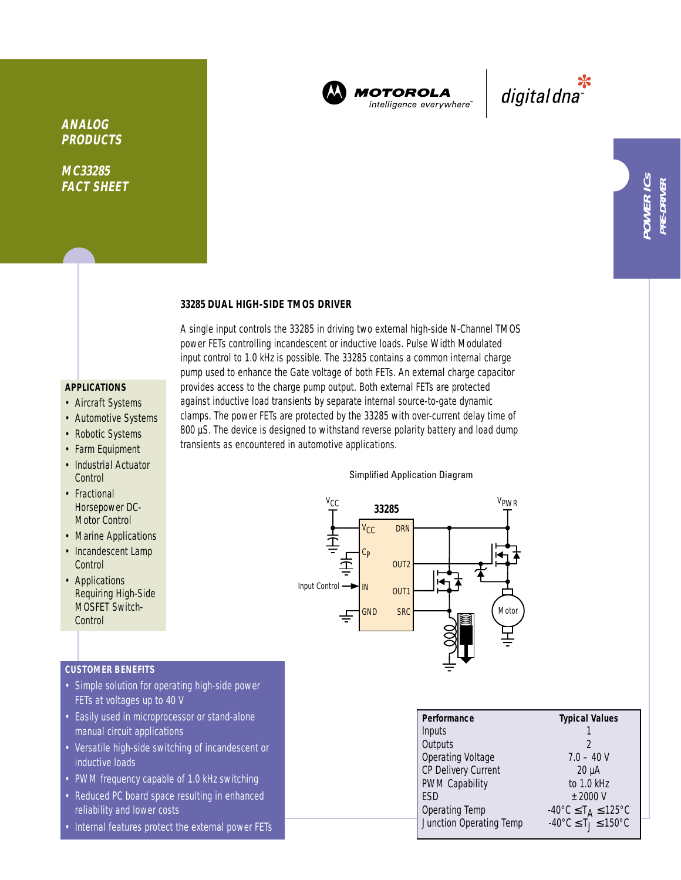

**MOTOROLA** intelligence everywhere"

\*<br>"digital dna

### **33285 DUAL HIGH-SIDE TMOS DRIVER**

**APPLICATIONS**

**ANALOG PRODUCTS**

**MC33285 FACT SHEET**

- Aircraft Systems
- Automotive Systems
- Robotic Systems
- Farm Equipment
- Industrial Actuator **Control**
- Fractional Horsepower DC-Motor Control
- Marine Applications
- Incandescent Lamp **Control**
- Applications Requiring High-Side MOSFET Switch-**Control**

# **CUSTOMER BENEFITS**

- Simple solution for operating high-side power FETs at voltages up to 40 V
- Easily used in microprocessor or stand-alone manual circuit applications
- Versatile high-side switching of incandescent or inductive loads
- PWM frequency capable of 1.0 kHz switching
- Reduced PC board space resulting in enhanced reliability and lower costs
- Internal features protect the external power FETs

A single input controls the 33285 in driving two external high-side N-Channel TMOS power FETs controlling incandescent or inductive loads. Pulse Width Modulated input control to 1.0 kHz is possible. The 33285 contains a common internal charge pump used to enhance the Gate voltage of both FETs. An external charge capacitor provides access to the charge pump output. Both external FETs are protected against inductive load transients by separate internal source-to-gate dynamic clamps. The power FETs are protected by the 33285 with over-current delay time of 800 µS. The device is designed to withstand reverse polarity battery and load dump transients as encountered in automotive applications.

#### Simplified Application Diagram



| Performance             | <b>Typical Values</b>                                            |
|-------------------------|------------------------------------------------------------------|
| Inputs                  |                                                                  |
| Outputs                 | 2                                                                |
| Operating Voltage       | $7.0 - 40V$                                                      |
| CP Delivery Current     | $20 \mu A$                                                       |
| PWM Capability          | to 1.0 kHz                                                       |
| <b>FSD</b>              | $+2000V$                                                         |
| Operating Temp          |                                                                  |
| Junction Operating Temp | -40°C ≤ T <sub>A</sub> ≤ 125°C<br>-40°C ≤ T <sub>J</sub> ≤ 150°C |
|                         |                                                                  |